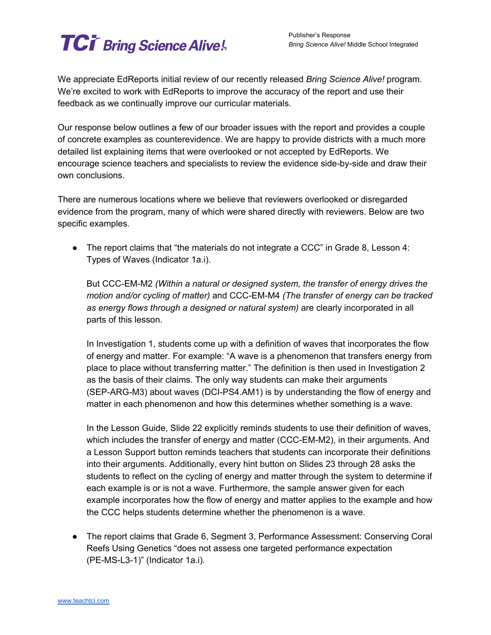## **TCi** Bring Science Alive!

We appreciate EdReports initial review of our recently released *Bring Science Alive!* program. We're excited to work with EdReports to improve the accuracy of the report and use their feedback as we continually improve our curricular materials.

Our response below outlines a few of our broader issues with the report and provides a couple of concrete examples as counterevidence. We are happy to provide districts with a much more detailed list explaining items that were overlooked or not accepted by EdReports. We encourage science teachers and specialists to review the evidence side-by-side and draw their own conclusions.

There are numerous locations where we believe that reviewers overlooked or disregarded evidence from the program, many of which were shared directly with reviewers. Below are two specific examples.

• The report claims that "the materials do not integrate a  $CCC$ " in Grade 8, Lesson 4: Types of Waves (Indicator 1a.i).

But CCC-EM-M2 *(Within a natural or designed system, the transfer of energy drives the motion and/or cycling of matter)* and CCC-EM-M4 *(The transfer of energy can be tracked as energy flows through a designed or natural system)* are clearly incorporated in all parts of this lesson.

In Investigation 1, students come up with a definition of waves that incorporates the flow of energy and matter. For example: "A wave is a phenomenon that transfers energy from place to place without transferring matter." The definition is then used in Investigation 2 as the basis of their claims. The only way students can make their arguments (SEP-ARG-M3) about waves (DCI-PS4.AM1) is by understanding the flow of energy and matter in each phenomenon and how this determines whether something is a wave.

In the Lesson Guide, Slide 22 explicitly reminds students to use their definition of waves, which includes the transfer of energy and matter (CCC-EM-M2), in their arguments. And a Lesson Support button reminds teachers that students can incorporate their definitions into their arguments. Additionally, every hint button on Slides 23 through 28 asks the students to reflect on the cycling of energy and matter through the system to determine if each example is or is not a wave. Furthermore, the sample answer given for each example incorporates how the flow of energy and matter applies to the example and how the CCC helps students determine whether the phenomenon is a wave.

● The report claims that Grade 6, Segment 3, Performance Assessment: Conserving Coral Reefs Using Genetics "does not assess one targeted performance expectation (PE-MS-L3-1)" (Indicator 1a.i).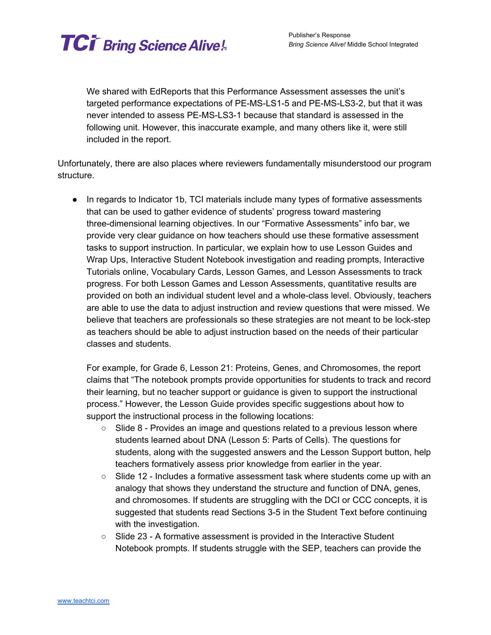

We shared with EdReports that this Performance Assessment assesses the unit's targeted performance expectations of PE-MS-LS1-5 and PE-MS-LS3-2, but that it was never intended to assess PE-MS-LS3-1 because that standard is assessed in the following unit. However, this inaccurate example, and many others like it, were still included in the report.

Unfortunately, there are also places where reviewers fundamentally misunderstood our program structure.

● In regards to Indicator 1b, TCI materials include many types of formative assessments that can be used to gather evidence of students' progress toward mastering three-dimensional learning objectives. In our "Formative Assessments" info bar, we provide very clear guidance on how teachers should use these formative assessment tasks to support instruction. In particular, we explain how to use Lesson Guides and Wrap Ups, Interactive Student Notebook investigation and reading prompts, Interactive Tutorials online, Vocabulary Cards, Lesson Games, and Lesson Assessments to track progress. For both Lesson Games and Lesson Assessments, quantitative results are provided on both an individual student level and a whole-class level. Obviously, teachers are able to use the data to adjust instruction and review questions that were missed. We believe that teachers are professionals so these strategies are not meant to be lock-step as teachers should be able to adjust instruction based on the needs of their particular classes and students.

For example, for Grade 6, Lesson 21: Proteins, Genes, and Chromosomes, the report claims that "The notebook prompts provide opportunities for students to track and record their learning, but no teacher support or guidance is given to support the instructional process." However, the Lesson Guide provides specific suggestions about how to support the instructional process in the following locations:

- $\circ$  Slide 8 Provides an image and questions related to a previous lesson where students learned about DNA (Lesson 5: Parts of Cells). The questions for students, along with the suggested answers and the Lesson Support button, help teachers formatively assess prior knowledge from earlier in the year.
- Slide 12 Includes a formative assessment task where students come up with an analogy that shows they understand the structure and function of DNA, genes, and chromosomes. If students are struggling with the DCI or CCC concepts, it is suggested that students read Sections 3-5 in the Student Text before continuing with the investigation.
- Slide 23 A formative assessment is provided in the Interactive Student Notebook prompts. If students struggle with the SEP, teachers can provide the